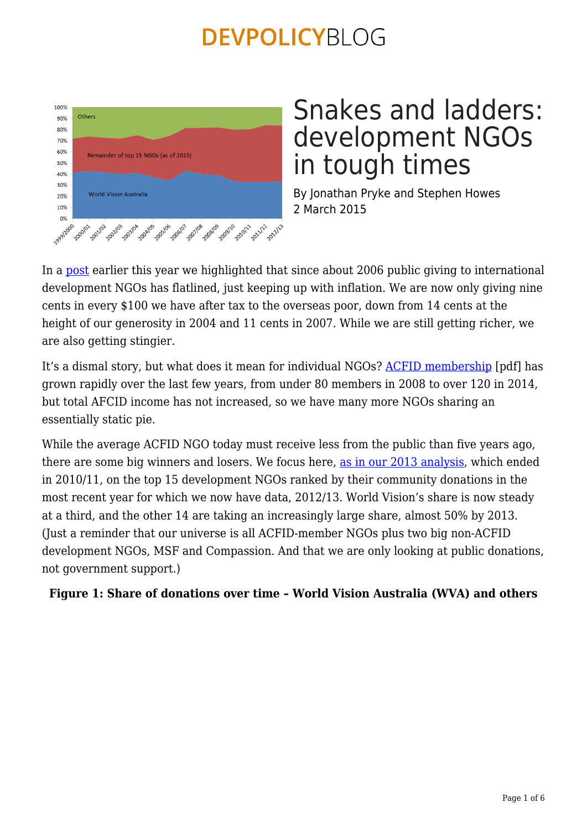

# Snakes and ladders: development NGOs in tough times

By Jonathan Pryke and Stephen Howes 2 March 2015

In a [post](https://devpolicy.org/australian-public-giving-for-international-development-flatlining-20150121/) earlier this year we highlighted that since about 2006 public giving to international development NGOs has flatlined, just keeping up with inflation. We are now only giving nine cents in every \$100 we have after tax to the overseas poor, down from 14 cents at the height of our generosity in 2004 and 11 cents in 2007. While we are still getting richer, we are also getting stingier.

It's a dismal story, but what does it mean for individual NGOs? [ACFID membership](http://www.acfid.asn.au/about-acfid/corporate-documents/annual-report-2013) [pdf] has grown rapidly over the last few years, from under 80 members in 2008 to over 120 in 2014, but total AFCID income has not increased, so we have many more NGOs sharing an essentially static pie.

While the average ACFID NGO today must receive less from the public than five years ago, there are some big winners and losers. We focus here, [as in our 2013 analysis,](https://devpolicy.org/the-other-scale-up-australian-public-donations-for-development-over-the-last-decade-20130829/) which ended in 2010/11, on the top 15 development NGOs ranked by their community donations in the most recent year for which we now have data, 2012/13. World Vision's share is now steady at a third, and the other 14 are taking an increasingly large share, almost 50% by 2013. (Just a reminder that our universe is all ACFID-member NGOs plus two big non-ACFID development NGOs, MSF and Compassion. And that we are only looking at public donations, not government support.)

### **Figure 1: Share of donations over time – World Vision Australia (WVA) and others**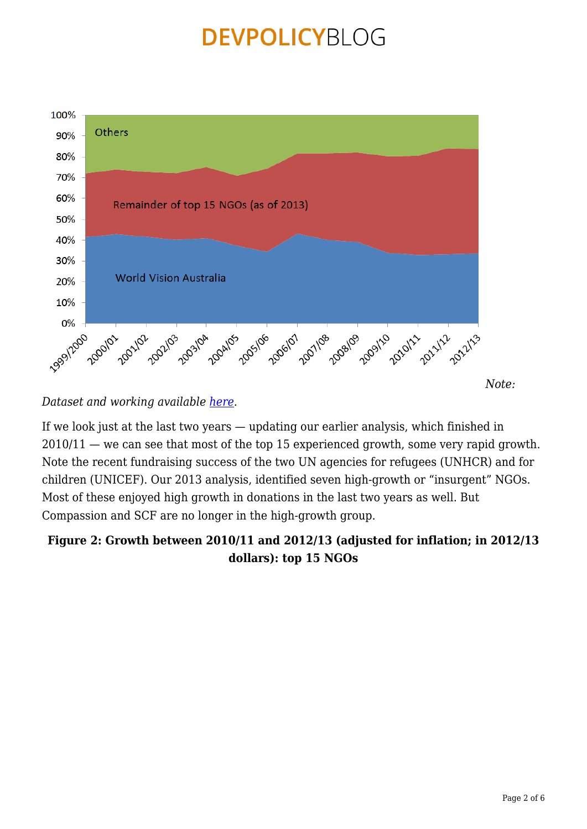

*Dataset and working available [here](https://devpolicy.org/excel/NGO-funding.xlsx).*

If we look just at the last two years — updating our earlier analysis, which finished in 2010/11 — we can see that most of the top 15 experienced growth, some very rapid growth. Note the recent fundraising success of the two UN agencies for refugees (UNHCR) and for children (UNICEF). Our 2013 analysis, identified seven high-growth or "insurgent" NGOs. Most of these enjoyed high growth in donations in the last two years as well. But Compassion and SCF are no longer in the high-growth group.

### **Figure 2: Growth between 2010/11 and 2012/13 (adjusted for inflation; in 2012/13 dollars): top 15 NGOs**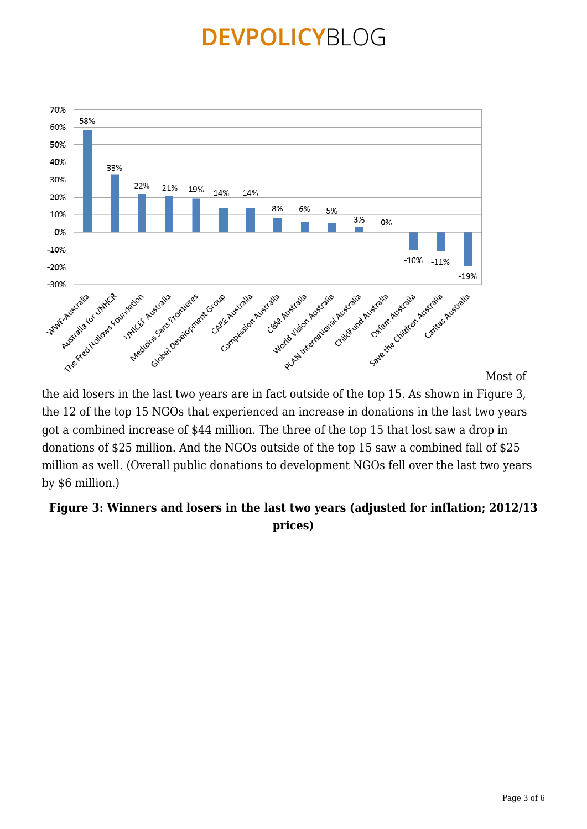

[M](https://devpolicy.org/wp-content/uploads/2015/03/image22.png)ost of

the aid losers in the last two years are in fact outside of the top 15. As shown in Figure 3, the 12 of the top 15 NGOs that experienced an increase in donations in the last two years got a combined increase of \$44 million. The three of the top 15 that lost saw a drop in donations of \$25 million. And the NGOs outside of the top 15 saw a combined fall of \$25 million as well. (Overall public donations to development NGOs fell over the last two years by \$6 million.)

### **Figure 3: Winners and losers in the last two years (adjusted for inflation; 2012/13 prices)**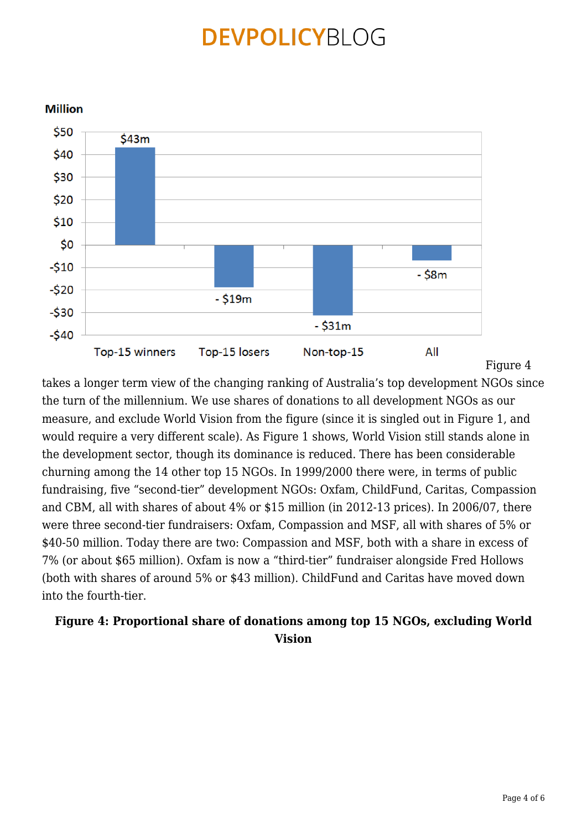

takes a longer term view of the changing ranking of Australia's top development NGOs since the turn of the millennium. We use shares of donations to all development NGOs as our measure, and exclude World Vision from the figure (since it is singled out in Figure 1, and would require a very different scale). As Figure 1 shows, World Vision still stands alone in the development sector, though its dominance is reduced. There has been considerable churning among the 14 other top 15 NGOs. In 1999/2000 there were, in terms of public fundraising, five "second-tier" development NGOs: Oxfam, ChildFund, Caritas, Compassion and CBM, all with shares of about 4% or \$15 million (in 2012-13 prices). In 2006/07, there were three second-tier fundraisers: Oxfam, Compassion and MSF, all with shares of 5% or \$40-50 million. Today there are two: Compassion and MSF, both with a share in excess of 7% (or about \$65 million). Oxfam is now a "third-tier" fundraiser alongside Fred Hollows (both with shares of around 5% or \$43 million). ChildFund and Caritas have moved down into the fourth-tier.

### **Figure 4: Proportional share of donations among top 15 NGOs, excluding World Vision**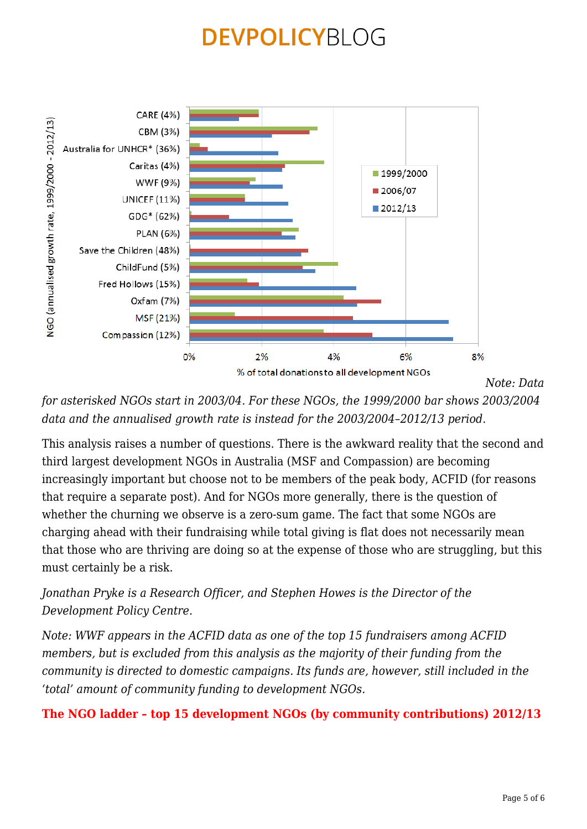

*[N](https://devpolicy.org/wp-content/uploads/2015/03/image24.png)ote: Data*

*for asterisked NGOs start in 2003/04. For these NGOs, the 1999/2000 bar shows 2003/2004 data and the annualised growth rate is instead for the 2003/2004–2012/13 period.*

This analysis raises a number of questions. There is the awkward reality that the second and third largest development NGOs in Australia (MSF and Compassion) are becoming increasingly important but choose not to be members of the peak body, ACFID (for reasons that require a separate post). And for NGOs more generally, there is the question of whether the churning we observe is a zero-sum game. The fact that some NGOs are charging ahead with their fundraising while total giving is flat does not necessarily mean that those who are thriving are doing so at the expense of those who are struggling, but this must certainly be a risk.

*Jonathan Pryke is a Research Officer, and Stephen Howes is the Director of the Development Policy Centre.*

*Note: WWF appears in the ACFID data as one of the top 15 fundraisers among ACFID members, but is excluded from this analysis as the majority of their funding from the community is directed to domestic campaigns. Its funds are, however, still included in the 'total' amount of community funding to development NGOs.*

### **The NGO ladder – top 15 development NGOs (by community contributions) 2012/13**